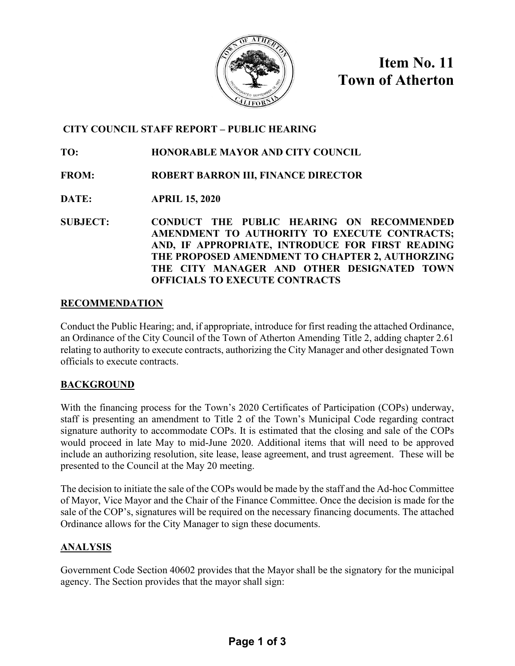

**Item No. 11 Town of Atherton**

## **CITY COUNCIL STAFF REPORT – PUBLIC HEARING**

## **TO: HONORABLE MAYOR AND CITY COUNCIL**

## **FROM: ROBERT BARRON III, FINANCE DIRECTOR**

# **DATE: APRIL 15, 2020**

**SUBJECT: CONDUCT THE PUBLIC HEARING ON RECOMMENDED AMENDMENT TO AUTHORITY TO EXECUTE CONTRACTS; AND, IF APPROPRIATE, INTRODUCE FOR FIRST READING THE PROPOSED AMENDMENT TO CHAPTER 2, AUTHORZING THE CITY MANAGER AND OTHER DESIGNATED TOWN OFFICIALS TO EXECUTE CONTRACTS** 

### **RECOMMENDATION**

Conduct the Public Hearing; and, if appropriate, introduce for first reading the attached Ordinance, an Ordinance of the City Council of the Town of Atherton Amending Title 2, adding chapter 2.61 relating to authority to execute contracts, authorizing the City Manager and other designated Town officials to execute contracts.

### **BACKGROUND**

With the financing process for the Town's 2020 Certificates of Participation (COPs) underway, staff is presenting an amendment to Title 2 of the Town's Municipal Code regarding contract signature authority to accommodate COPs. It is estimated that the closing and sale of the COPs would proceed in late May to mid-June 2020. Additional items that will need to be approved include an authorizing resolution, site lease, lease agreement, and trust agreement. These will be presented to the Council at the May 20 meeting.

The decision to initiate the sale of the COPs would be made by the staff and the Ad-hoc Committee of Mayor, Vice Mayor and the Chair of the Finance Committee. Once the decision is made for the sale of the COP's, signatures will be required on the necessary financing documents. The attached Ordinance allows for the City Manager to sign these documents.

### **ANALYSIS**

Government Code Section 40602 provides that the Mayor shall be the signatory for the municipal agency. The Section provides that the mayor shall sign: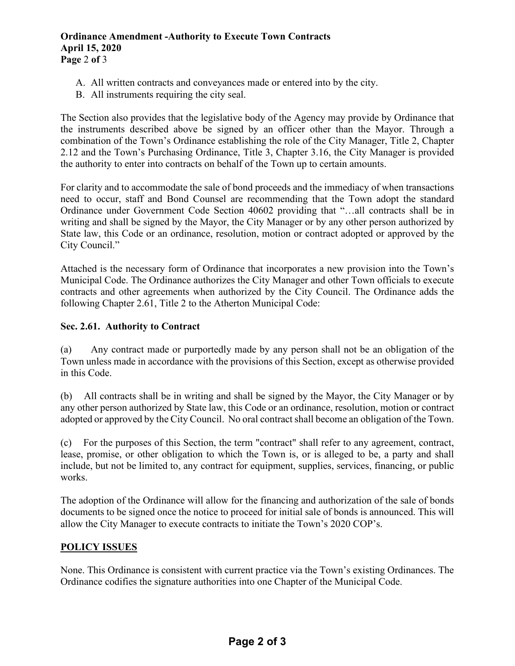#### **Ordinance Amendment -Authority to Execute Town Contracts April 15, 2020 Page** 2 **of** 3

- A. All written contracts and conveyances made or entered into by the city.
- B. All instruments requiring the city seal.

The Section also provides that the legislative body of the Agency may provide by Ordinance that the instruments described above be signed by an officer other than the Mayor. Through a combination of the Town's Ordinance establishing the role of the City Manager, Title 2, Chapter 2.12 and the Town's Purchasing Ordinance, Title 3, Chapter 3.16, the City Manager is provided the authority to enter into contracts on behalf of the Town up to certain amounts.

For clarity and to accommodate the sale of bond proceeds and the immediacy of when transactions need to occur, staff and Bond Counsel are recommending that the Town adopt the standard Ordinance under Government Code Section 40602 providing that "…all contracts shall be in writing and shall be signed by the Mayor, the City Manager or by any other person authorized by State law, this Code or an ordinance, resolution, motion or contract adopted or approved by the City Council."

Attached is the necessary form of Ordinance that incorporates a new provision into the Town's Municipal Code. The Ordinance authorizes the City Manager and other Town officials to execute contracts and other agreements when authorized by the City Council. The Ordinance adds the following Chapter 2.61, Title 2 to the Atherton Municipal Code:

#### **Sec. 2.61. Authority to Contract**

(a) Any contract made or purportedly made by any person shall not be an obligation of the Town unless made in accordance with the provisions of this Section, except as otherwise provided in this Code.

(b) All contracts shall be in writing and shall be signed by the Mayor, the City Manager or by any other person authorized by State law, this Code or an ordinance, resolution, motion or contract adopted or approved by the City Council. No oral contract shall become an obligation of the Town.

(c) For the purposes of this Section, the term "contract" shall refer to any agreement, contract, lease, promise, or other obligation to which the Town is, or is alleged to be, a party and shall include, but not be limited to, any contract for equipment, supplies, services, financing, or public works.

The adoption of the Ordinance will allow for the financing and authorization of the sale of bonds documents to be signed once the notice to proceed for initial sale of bonds is announced. This will allow the City Manager to execute contracts to initiate the Town's 2020 COP's.

### **POLICY ISSUES**

None. This Ordinance is consistent with current practice via the Town's existing Ordinances. The Ordinance codifies the signature authorities into one Chapter of the Municipal Code.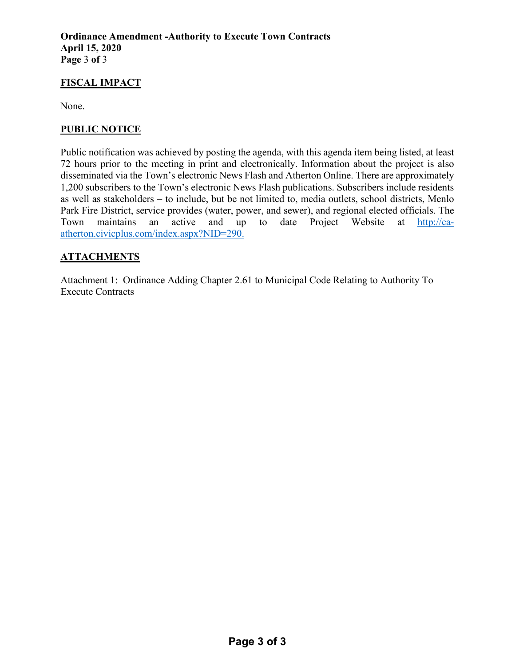## **FISCAL IMPACT**

None.

## **PUBLIC NOTICE**

Public notification was achieved by posting the agenda, with this agenda item being listed, at least 72 hours prior to the meeting in print and electronically. Information about the project is also disseminated via the Town's electronic News Flash and Atherton Online. There are approximately 1,200 subscribers to the Town's electronic News Flash publications. Subscribers include residents as well as stakeholders – to include, but be not limited to, media outlets, school districts, Menlo Park Fire District, service provides (water, power, and sewer), and regional elected officials. The Town maintains an active and up to date Project Website at [http://ca](http://ca-atherton.civicplus.com/index.aspx?NID=290)[atherton.civicplus.com/index.aspx?NID=290.](http://ca-atherton.civicplus.com/index.aspx?NID=290)

# **ATTACHMENTS**

Attachment 1: Ordinance Adding Chapter 2.61 to Municipal Code Relating to Authority To Execute Contracts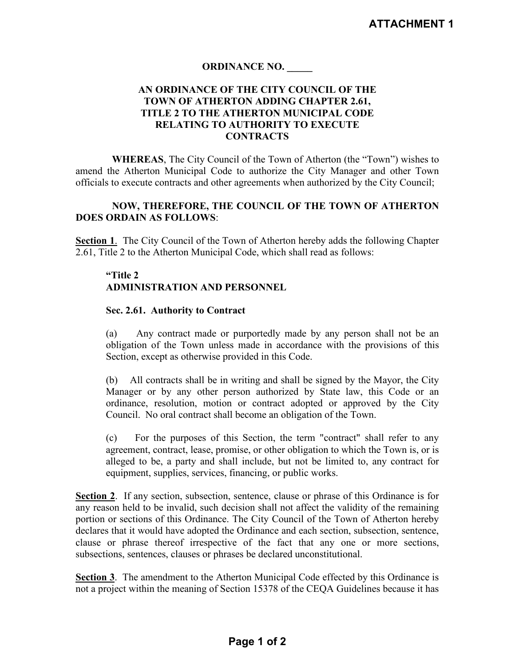### **ORDINANCE NO. \_\_\_\_\_**

#### **AN ORDINANCE OF THE CITY COUNCIL OF THE TOWN OF ATHERTON ADDING CHAPTER 2.61, TITLE 2 TO THE ATHERTON MUNICIPAL CODE RELATING TO AUTHORITY TO EXECUTE CONTRACTS**

**WHEREAS**, The City Council of the Town of Atherton (the "Town") wishes to amend the Atherton Municipal Code to authorize the City Manager and other Town officials to execute contracts and other agreements when authorized by the City Council;

#### **NOW, THEREFORE, THE COUNCIL OF THE TOWN OF ATHERTON DOES ORDAIN AS FOLLOWS**:

**Section 1**. The City Council of the Town of Atherton hereby adds the following Chapter 2.61, Title 2 to the Atherton Municipal Code, which shall read as follows:

### **"Title 2 ADMINISTRATION AND PERSONNEL**

#### **Sec. 2.61. Authority to Contract**

(a) Any contract made or purportedly made by any person shall not be an obligation of the Town unless made in accordance with the provisions of this Section, except as otherwise provided in this Code.

(b) All contracts shall be in writing and shall be signed by the Mayor, the City Manager or by any other person authorized by State law, this Code or an ordinance, resolution, motion or contract adopted or approved by the City Council. No oral contract shall become an obligation of the Town.

(c) For the purposes of this Section, the term "contract" shall refer to any agreement, contract, lease, promise, or other obligation to which the Town is, or is alleged to be, a party and shall include, but not be limited to, any contract for equipment, supplies, services, financing, or public works.

**Section 2**. If any section, subsection, sentence, clause or phrase of this Ordinance is for any reason held to be invalid, such decision shall not affect the validity of the remaining portion or sections of this Ordinance. The City Council of the Town of Atherton hereby declares that it would have adopted the Ordinance and each section, subsection, sentence, clause or phrase thereof irrespective of the fact that any one or more sections, subsections, sentences, clauses or phrases be declared unconstitutional.

**Section 3**. The amendment to the Atherton Municipal Code effected by this Ordinance is not a project within the meaning of Section 15378 of the CEQA Guidelines because it has